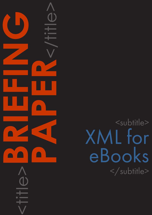<title>**BRIEFING PAPER**<br>CONSTRAINS

<subtitle> XML for eBooks </subtitle>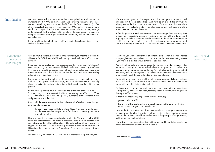## CAPDM Ltd. CAPDM Ltd.

Introduction We are seeing today a mass move by many publishers and information owners to invest in XML for their content. Look at any publisher or any large, information-rich organisation such as the BBC and the Open University (but few other universities) and you will see evidence of XML uptake. It is more than a trend; it is accepted that this is an inevitable route to take to capture, manage and publish substantive volumes of information. The core underlying benefit in doing so is that this frees organisations from proprietary lock-in, and maximises content re-use.

> It also provides a basis for longevity of investment – in an information sense, as well as a financial sense.

> It has been demonstrated by some organisations that it is possible to "do XML" without impacting too much on established, traditional typesetting workflows. This, however, should be approached with caution, as actual use tends to be somewhat restricted. This is despite the fact that XML has been quite widely adopted, if only in a token sense.

> For example, the most popular visual layout tools used commercially – tools such as Quark Xpress, Adobe InDesign, and even Microsoft Word – actually allow production teams to save their files in XML as a by-product of the layout process.

> Earlier Briefing Papers have documented the difference between using XML 'properly' (e.g. in a true semantic fashion), and merely using XML as a "Save As … " file format. This is not "doing XML", but merely acknowledging its use and potential late in the chain.

> Many publishers now recognise the flaws inherent in this "XML as an afterthought" approach, for example:

the application-specific file (e.g. Word, Quark) remains the master copy, and the XML merely an export, so in fact there is still the very real risk of proprietary lock-in;

- there is no proprietary application format in the way;
- you edit only the XML;
- the layout of the final product is precisely reproducible from only the XML master a month, a year or a decade later.

However there is a much more serious issue with this. We wrote back in 2008 of the non-determinism of DTP or Word Process derived tools, i.e. that the same content may produce different layout on a different day from different typesetting engine. End-to-end XML-based batch production is capable of ensuring that hitting the release button again in 6 months, or 6 years, gives the same desired output.

You cannot rely on exported XML to be able to reproduce the precise layout

# XML should be semantic

of a document again, for the simple reason that the layout information is still embedded in the application files. With XML as an export, the only way to reliably re-use the XML is in the same version of the same application which exported it. This actually renders it pointless even as an interchange or archive format; it cannot be reliably re-used.

XML is a W3C standard, derived from an ISO standard, so it has the characteristic of being safe. SGML proved difficult for many to work with, but has XML proved any better? XML should not be an after-thought

In fact the position is much more serious. The XML you get from exporting from a visual tool is essentially garbage. No visual layout tool (DTP, word processor) is going to be able to create re-usable, semantic, and well-structured mark-up – which is how XML should be used. The best you will get from an exported XML is a mapping of point-and-click styles to equivalent elements in the export.

The minute you want intelligent use of semantic data – such as author's names or copyright information to feed into databases, or for re-use in running footers - you find that exported XML is simply not good enough.

You will not be able to generate semantic mark-up of student quizzes – for example, allowing the answers to be laid out in an appendix in print but as a pop-up window in an on-line rendering. You will also not be able to embed metadata, such as learning objectives or keywords that enable alternative paths to be taken through the content and its on-line exploitation.

Exported XML will provide you with headings, paragraphs and character styles, and it will enable you to import it back into the exact same application you exported it from. But that's pretty much all.

This is not news – we, and many others, have been covering this for some time . This is precisely why there has been, for many years, a push towards pagination directly from XML where:

Used to the full, the XML should be semantically rich enough to enable it to be used to create all of the varied print and on-line outputs needed from one source. That is there should be an adherence to the principle of single-source, multi-format (channel) publishing.

Nowadays cheap, accessible XML editors are readily available which can ensure that content is structured and re-usable.

\_\_\_\_\_\_\_\_\_\_\_\_\_\_\_\_\_

<sup>&</sup>lt;sup>1</sup> See, for example, [gilbane.com](http://gilbane.com)